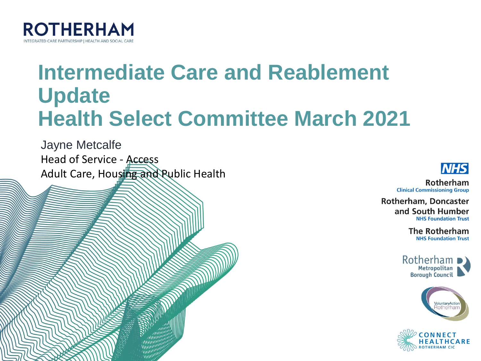

### **Intermediate Care and Reablement Update Health Select Committee March 2021**

**CONTROVERSIDE** 

Jayne Metcalfe Head of Service - Access Adult Care, Housing and Public Health



Rotherham **Clinical Commissioning Group** 

**Rotherham, Doncaster** and South Humber **NHS Foundation Trust** 

> **The Rotherham NHS Foundation Trust**





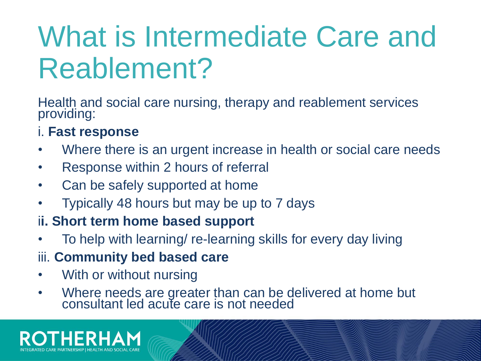# What is Intermediate Care and Reablement?

Health and social care nursing, therapy and reablement services providing:

#### i. **Fast response**

- Where there is an urgent increase in health or social care needs
- Response within 2 hours of referral
- Can be safely supported at home
- Typically 48 hours but may be up to 7 days
- i**i. Short term home based support**
- To help with learning/ re-learning skills for every day living
- iii. **Community bed based care**
- With or without nursing
- Where needs are greater than can be delivered at home but consultant led acute care is not needed

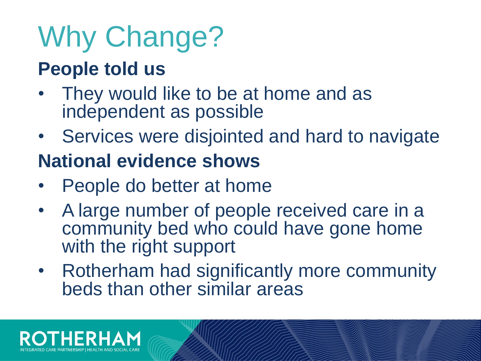# Why Change?

### **People told us**

- They would like to be at home and as independent as possible
- Services were disjointed and hard to navigate

### **National evidence shows**

- People do better at home
- A large number of people received care in a community bed who could have gone home with the right support
- Rotherham had significantly more community beds than other similar areas

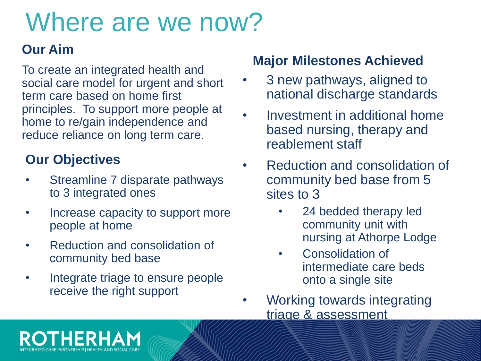# Where are we now?

#### **Our Aim**

To create an integrated health and social care model for urgent and short term care based on home first principles. To support more people at home to re/gain independence and reduce reliance on long term care.

#### **Our Objectives**

- Streamline 7 disparate pathways to 3 integrated ones
- Increase capacity to support more people at home
- Reduction and consolidation of community bed base
- Integrate triage to ensure people receive the right support

#### **Major Milestones Achieved**

- 3 new pathways, aligned to national discharge standards
- Investment in additional home based nursing, therapy and reablement staff
- Reduction and consolidation of community bed base from 5 sites to 3
	- 24 bedded therapy led community unit with nursing at Athorpe Lodge
	- Consolidation of intermediate care beds onto a single site
- Working towards integrating triage & assessment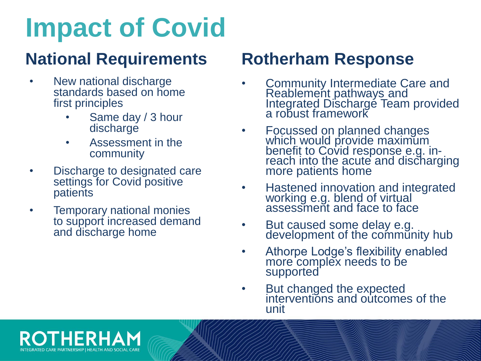# **Impact of Covid**

### **National Requirements Rotherham Response**

- New national discharge standards based on home first principles
	- Same day / 3 hour discharge
	- Assessment in the community
- Discharge to designated care settings for Covid positive patients
- Temporary national monies to support increased demand and discharge home

- Community Intermediate Care and Reablement pathways and Integrated Discharge Team provided a robust framework
- Focussed on planned changes which would provide maximum benefit to Covid response e.g. inreach into the acute and discharging more patients home
- Hastened innovation and integrated working e.g. blend of virtual assessment and face to face
- But caused some delay e.g. development of the community hub
- Athorpe Lodge's flexibility enabled more complex needs to be supported
- But changed the expected interventions and outcomes of the unit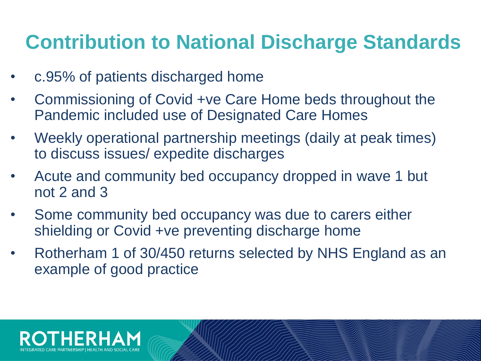### **Contribution to National Discharge Standards**

- c.95% of patients discharged home
- Commissioning of Covid +ve Care Home beds throughout the Pandemic included use of Designated Care Homes
- Weekly operational partnership meetings (daily at peak times) to discuss issues/ expedite discharges
- Acute and community bed occupancy dropped in wave 1 but not 2 and 3
- Some community bed occupancy was due to carers either shielding or Covid +ve preventing discharge home
- Rotherham 1 of 30/450 returns selected by NHS England as an example of good practice

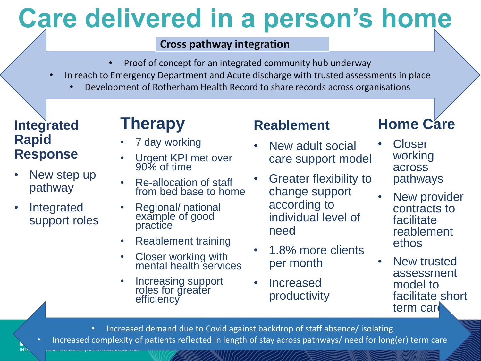# **Care delivered in a person's home**

#### **Cross pathway integration**

- Proof of concept for an integrated community hub underway
- In reach to Emergency Department and Acute discharge with trusted assessments in place
	- Development of Rotherham Health Record to share records across organisations

#### **Integrated Rapid Response**

- New step up pathway
- **Integrated** support roles

**INT** 

### **Therapy**

- 7 day working
- Urgent KPI met over 90% of time
- Re-allocation of staff from bed base to home
- Regional/ national example of good practice
- Reablement training
- Closer working with mental health services
- Increasing support roles for greater efficiency

#### **Reablement**

- New adult social care support model
- Greater flexibility to change support according to individual level of need
- 1.8% more clients per month
- **Increased** productivity

### **Home Care**

- **Closer** working across pathways
- New provider contracts to facilitate reablement ethos
- New trusted assessment model to facilitate short term care

• Increased demand due to Covid against backdrop of staff absence/ isolating • Increased complexity of patients reflected in length of stay across pathways/ need for long(er) term care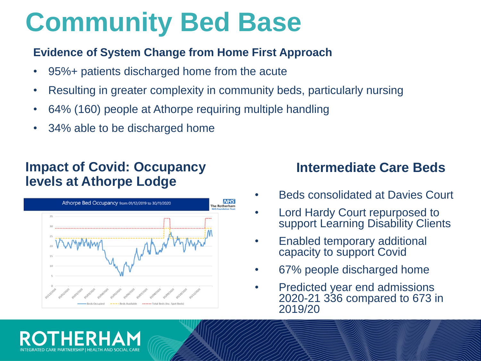### **Community Bed Base**

#### **Evidence of System Change from Home First Approach**

- 95%+ patients discharged home from the acute
- Resulting in greater complexity in community beds, particularly nursing
- 64% (160) people at Athorpe requiring multiple handling
- 34% able to be discharged home

#### **Impact of Covid: Occupancy levels at Athorpe Lodge**



#### **Intermediate Care Beds**

- Beds consolidated at Davies Court
- Lord Hardy Court repurposed to support Learning Disability Clients
- Enabled temporary additional capacity to support Covid
- 67% people discharged home
- Predicted year end admissions 2020-21 336 compared to 673 in 2019/20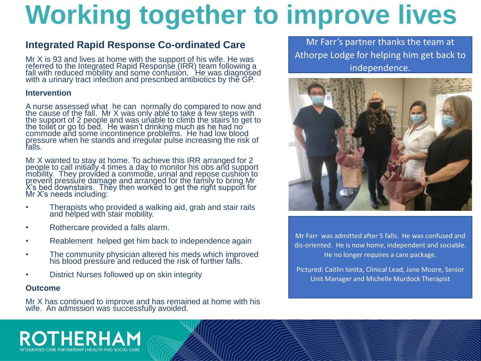# **Working together to improve lives**

#### **Integrated Rapid Response Co-ordinated Care**

Mr X is 93 and lives at home with the support of his wife. He was referred to the Integrated Rapid Response (IRR) team following a fall with reduced mobility and some confusion. He was diagnosed with a urinary tract infection and prescribed antibiotics by the GP.

#### **Intervention**

A nurse assessed what he can normally do compared to now and the cause of the fall. Mr X was only able to take a few steps with the support of 2 people and was unable to climb the stairs to get to the toilet or go to bed. He wasn't drinking much as he had no commode and some incontinence problems. He had low blood pressure when he stands and irregular pulse increasing the risk of falls.

Mr X wanted to stay at home. To achieve this IRR arranged for 2 people to call initially 4 times a day to monitor his obs and support mobility. They provided a commode, urinal and repose cushion to prevent pressure damage and arranged for the family to bring Mr X's bed downstairs. They then worked to get the right support for Mr X's needs including:

- Therapists who provided a walking aid, grab and stair rails and helped with stair mobility.
- Rothercare provided a falls alarm.
- Reablement helped get him back to independence again
- The community physician altered his meds which improved his blood pressure and reduced the risk of further falls.
- District Nurses followed up on skin integrity

#### **Outcome**

Mr X has continued to improve and has remained at home with his wife. An admission was successfully avoided.

Mr Farr's partner thanks the team at Athorpe Lodge for helping him get back to independence.



Mr Farr was admitted after 5 falls. He was confused and dis-oriented. He is now home, independent and sociable. He no longer requires a care package.

Pictured: Caitlin Ionita, Clinical Lead, Jane Moore, Senior Unit Manager and Michelle Murdock Therapist

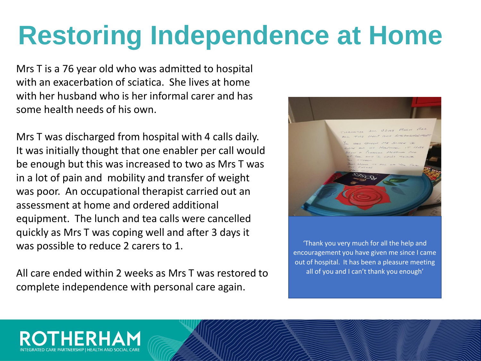# **Restoring Independence at Home**

Mrs T is a 76 year old who was admitted to hospital with an exacerbation of sciatica. She lives at home with her husband who is her informal carer and has some health needs of his own.

Mrs T was discharged from hospital with 4 calls daily. It was initially thought that one enabler per call would be enough but this was increased to two as Mrs T was in a lot of pain and mobility and transfer of weight was poor. An occupational therapist carried out an assessment at home and ordered additional equipment. The lunch and tea calls were cancelled quickly as Mrs T was coping well and after 3 days it was possible to reduce 2 carers to 1.

All care ended within 2 weeks as Mrs T was restored to complete independence with personal care again.



'Thank you very much for all the help and encouragement you have given me since I came out of hospital. It has been a pleasure meeting all of you and I can't thank you enough'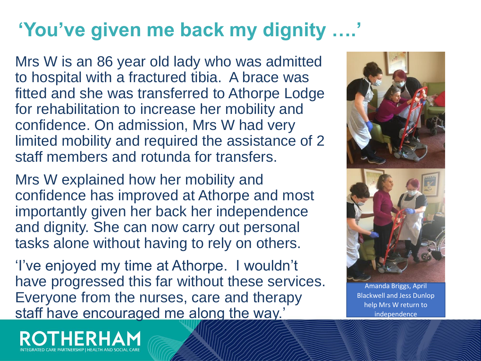### **'You've given me back my dignity ….'**

Mrs W is an 86 year old lady who was admitted to hospital with a fractured tibia. A brace was fitted and she was transferred to Athorpe Lodge for rehabilitation to increase her mobility and confidence. On admission, Mrs W had very limited mobility and required the assistance of 2 staff members and rotunda for transfers.

Mrs W explained how her mobility and confidence has improved at Athorpe and most importantly given her back her independence and dignity. She can now carry out personal tasks alone without having to rely on others.

'I've enjoyed my time at Athorpe. I wouldn't have progressed this far without these services. Everyone from the nurses, care and therapy staff have encouraged me along the way.'



Amanda Briggs, April Blackwell and Jess Dunlop help Mrs W return to independence

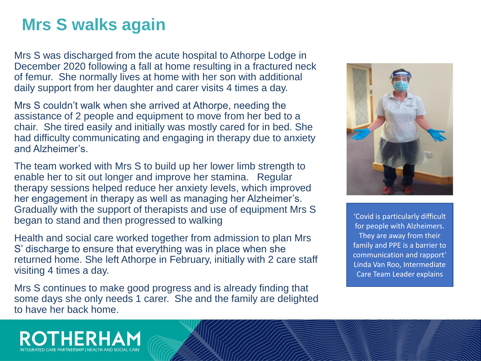### **Mrs S walks again**

Mrs S was discharged from the acute hospital to Athorpe Lodge in December 2020 following a fall at home resulting in a fractured neck of femur. She normally lives at home with her son with additional daily support from her daughter and carer visits 4 times a day.

Mrs S couldn't walk when she arrived at Athorpe, needing the assistance of 2 people and equipment to move from her bed to a chair. She tired easily and initially was mostly cared for in bed. She had difficulty communicating and engaging in therapy due to anxiety and Alzheimer's.

The team worked with Mrs S to build up her lower limb strength to enable her to sit out longer and improve her stamina. Regular therapy sessions helped reduce her anxiety levels, which improved her engagement in therapy as well as managing her Alzheimer's. Gradually with the support of therapists and use of equipment Mrs S began to stand and then progressed to walking

Health and social care worked together from admission to plan Mrs S' discharge to ensure that everything was in place when she returned home. She left Athorpe in February, initially with 2 care staff visiting 4 times a day.

Mrs S continues to make good progress and is already finding that some days she only needs 1 carer. She and the family are delighted to have her back home.



'Covid is particularly difficult for people with Alzheimers. They are away from their family and PPE is a barrier to communication and rapport' Linda Van Roo, Intermediate Care Team Leader explains

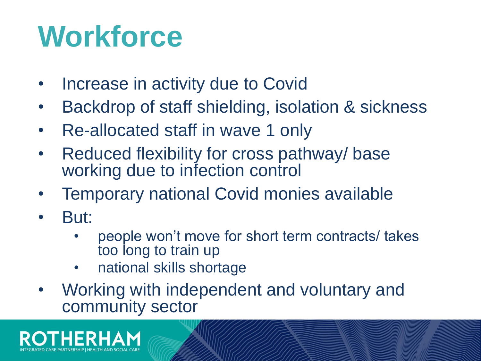# **Workforce**

- Increase in activity due to Covid
- Backdrop of staff shielding, isolation & sickness
- Re-allocated staff in wave 1 only
- Reduced flexibility for cross pathway/ base working due to infection control
- Temporary national Covid monies available
- But:
	- people won't move for short term contracts/ takes too long to train up
	- national skills shortage
- Working with independent and voluntary and community sector

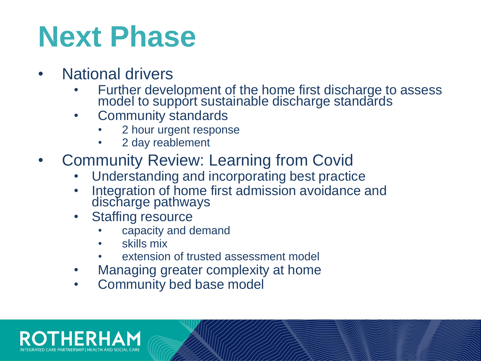# **Next Phase**

- **National drivers** 
	- Further development of the home first discharge to assess model to support sustainable discharge standards
	- Community standards
		- 2 hour urgent response
		- 2 day reablement
- Community Review: Learning from Covid
	- Understanding and incorporating best practice
	- Integration of home first admission avoidance and discharge pathways
	- Staffing resource
		- capacity and demand
		- skills mix
		- extension of trusted assessment model
	- Managing greater complexity at home
	- Community bed base model